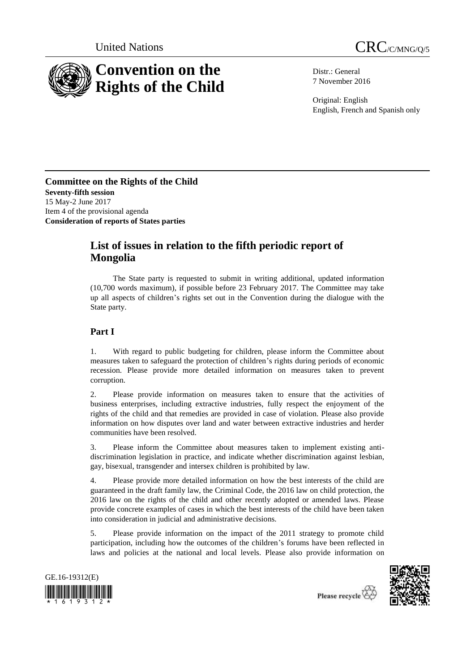



Distr.: General 7 November 2016

Original: English English, French and Spanish only

**Committee on the Rights of the Child Seventy-fifth session** 15 May-2 June 2017 Item 4 of the provisional agenda **Consideration of reports of States parties**

# **List of issues in relation to the fifth periodic report of Mongolia**

The State party is requested to submit in writing additional, updated information (10,700 words maximum), if possible before 23 February 2017. The Committee may take up all aspects of children's rights set out in the Convention during the dialogue with the State party.

## **Part I**

1. With regard to public budgeting for children, please inform the Committee about measures taken to safeguard the protection of children's rights during periods of economic recession. Please provide more detailed information on measures taken to prevent corruption.

2. Please provide information on measures taken to ensure that the activities of business enterprises, including extractive industries, fully respect the enjoyment of the rights of the child and that remedies are provided in case of violation. Please also provide information on how disputes over land and water between extractive industries and herder communities have been resolved.

3. Please inform the Committee about measures taken to implement existing antidiscrimination legislation in practice, and indicate whether discrimination against lesbian, gay, bisexual, transgender and intersex children is prohibited by law.

4. Please provide more detailed information on how the best interests of the child are guaranteed in the draft family law, the Criminal Code, the 2016 law on child protection, the 2016 law on the rights of the child and other recently adopted or amended laws. Please provide concrete examples of cases in which the best interests of the child have been taken into consideration in judicial and administrative decisions.

5. Please provide information on the impact of the 2011 strategy to promote child participation, including how the outcomes of the children's forums have been reflected in laws and policies at the national and local levels. Please also provide information on





Please recycle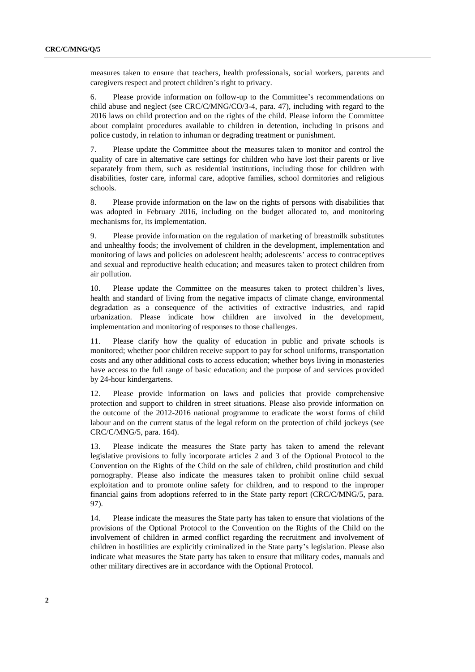measures taken to ensure that teachers, health professionals, social workers, parents and caregivers respect and protect children's right to privacy.

6. Please provide information on follow-up to the Committee's recommendations on child abuse and neglect (see CRC/C/MNG/CO/3-4, para. 47), including with regard to the 2016 laws on child protection and on the rights of the child. Please inform the Committee about complaint procedures available to children in detention, including in prisons and police custody, in relation to inhuman or degrading treatment or punishment.

7. Please update the Committee about the measures taken to monitor and control the quality of care in alternative care settings for children who have lost their parents or live separately from them, such as residential institutions, including those for children with disabilities, foster care, informal care, adoptive families, school dormitories and religious schools.

8. Please provide information on the law on the rights of persons with disabilities that was adopted in February 2016, including on the budget allocated to, and monitoring mechanisms for, its implementation.

9. Please provide information on the regulation of marketing of breastmilk substitutes and unhealthy foods; the involvement of children in the development, implementation and monitoring of laws and policies on adolescent health; adolescents' access to contraceptives and sexual and reproductive health education; and measures taken to protect children from air pollution.

10. Please update the Committee on the measures taken to protect children's lives, health and standard of living from the negative impacts of climate change, environmental degradation as a consequence of the activities of extractive industries, and rapid urbanization. Please indicate how children are involved in the development, implementation and monitoring of responses to those challenges.

11. Please clarify how the quality of education in public and private schools is monitored; whether poor children receive support to pay for school uniforms, transportation costs and any other additional costs to access education; whether boys living in monasteries have access to the full range of basic education; and the purpose of and services provided by 24-hour kindergartens.

12. Please provide information on laws and policies that provide comprehensive protection and support to children in street situations. Please also provide information on the outcome of the 2012-2016 national programme to eradicate the worst forms of child labour and on the current status of the legal reform on the protection of child jockeys (see CRC/C/MNG/5, para. 164).

13. Please indicate the measures the State party has taken to amend the relevant legislative provisions to fully incorporate articles 2 and 3 of the Optional Protocol to the Convention on the Rights of the Child on the sale of children, child prostitution and child pornography. Please also indicate the measures taken to prohibit online child sexual exploitation and to promote online safety for children, and to respond to the improper financial gains from adoptions referred to in the State party report (CRC/C/MNG/5, para. 97).

14. Please indicate the measures the State party has taken to ensure that violations of the provisions of the Optional Protocol to the Convention on the Rights of the Child on the involvement of children in armed conflict regarding the recruitment and involvement of children in hostilities are explicitly criminalized in the State party's legislation. Please also indicate what measures the State party has taken to ensure that military codes, manuals and other military directives are in accordance with the Optional Protocol.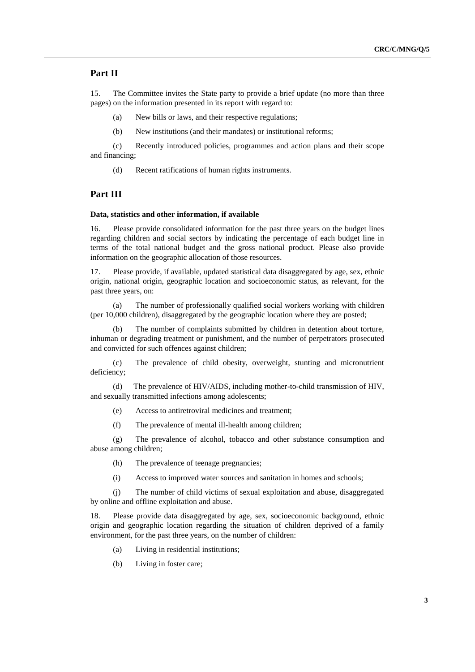#### **Part II**

15. The Committee invites the State party to provide a brief update (no more than three pages) on the information presented in its report with regard to:

(a) New bills or laws, and their respective regulations;

(b) New institutions (and their mandates) or institutional reforms;

(c) Recently introduced policies, programmes and action plans and their scope and financing;

(d) Recent ratifications of human rights instruments.

### **Part III**

#### **Data, statistics and other information, if available**

16. Please provide consolidated information for the past three years on the budget lines regarding children and social sectors by indicating the percentage of each budget line in terms of the total national budget and the gross national product. Please also provide information on the geographic allocation of those resources.

17. Please provide, if available, updated statistical data disaggregated by age, sex, ethnic origin, national origin, geographic location and socioeconomic status, as relevant, for the past three years, on:

(a) The number of professionally qualified social workers working with children (per 10,000 children), disaggregated by the geographic location where they are posted;

(b) The number of complaints submitted by children in detention about torture, inhuman or degrading treatment or punishment, and the number of perpetrators prosecuted and convicted for such offences against children;

(c) The prevalence of child obesity, overweight, stunting and micronutrient deficiency;

(d) The prevalence of HIV/AIDS, including mother-to-child transmission of HIV, and sexually transmitted infections among adolescents;

(e) Access to antiretroviral medicines and treatment;

(f) The prevalence of mental ill-health among children;

(g) The prevalence of alcohol, tobacco and other substance consumption and abuse among children;

- (h) The prevalence of teenage pregnancies;
- (i) Access to improved water sources and sanitation in homes and schools;

(j) The number of child victims of sexual exploitation and abuse, disaggregated by online and offline exploitation and abuse.

18. Please provide data disaggregated by age, sex, socioeconomic background, ethnic origin and geographic location regarding the situation of children deprived of a family environment, for the past three years, on the number of children:

- (a) Living in residential institutions;
- (b) Living in foster care;